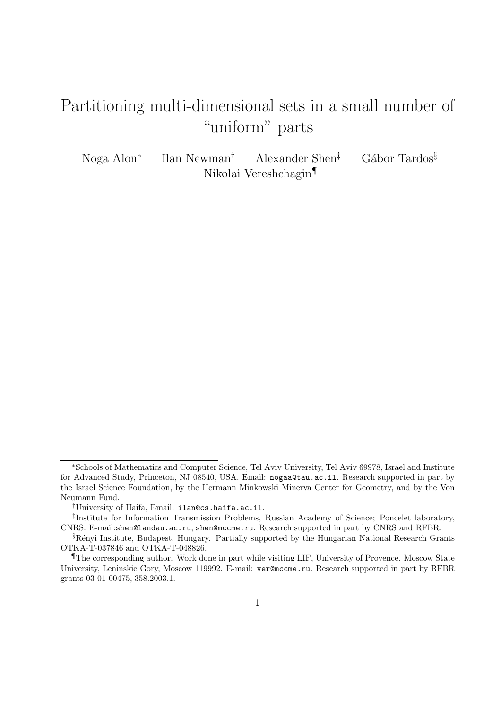## Partitioning multi-dimensional sets in a small number of "uniform" parts

Noga Alon<sup>∗</sup> Ilan Newman<sup>†</sup> Alexander Shen<sup>‡</sup> Gábor Tardos<sup>§</sup> Nikolai Vereshchagin¶

<sup>∗</sup>Schools of Mathematics and Computer Science, Tel Aviv University, Tel Aviv 69978, Israel and Institute for Advanced Study, Princeton, NJ 08540, USA. Email: nogaa@tau.ac.il. Research supported in part by the Israel Science Foundation, by the Hermann Minkowski Minerva Center for Geometry, and by the Von Neumann Fund.

<sup>†</sup>University of Haifa, Email: ilan@cs.haifa.ac.il.

<sup>‡</sup> Institute for Information Transmission Problems, Russian Academy of Science; Poncelet laboratory, CNRS. E-mail:shen@landau.ac.ru, shen@mccme.ru. Research supported in part by CNRS and RFBR.

<sup>§</sup>R´enyi Institute, Budapest, Hungary. Partially supported by the Hungarian National Research Grants OTKA-T-037846 and OTKA-T-048826.

<sup>¶</sup>The corresponding author. Work done in part while visiting LIF, University of Provence. Moscow State University, Leninskie Gory, Moscow 119992. E-mail: ver@mccme.ru. Research supported in part by RFBR grants 03-01-00475, 358.2003.1.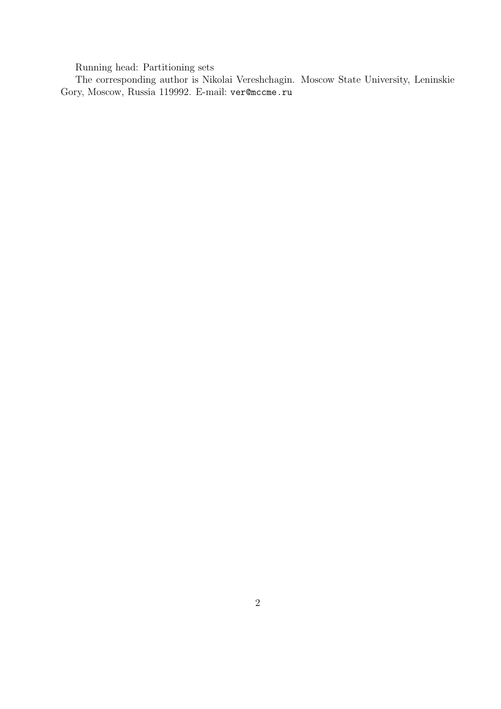Running head: Partitioning sets

The corresponding author is Nikolai Vereshchagin. Moscow State University, Leninskie Gory, Moscow, Russia 119992. E-mail: ver@mccme.ru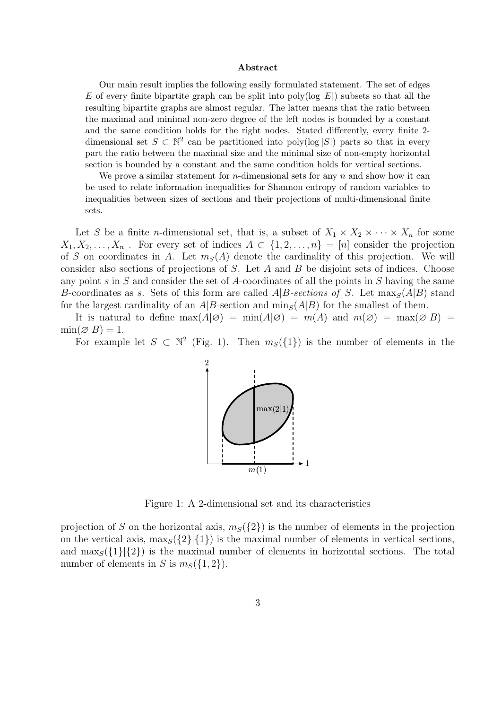## Abstract

Our main result implies the following easily formulated statement. The set of edges E of every finite bipartite graph can be split into  $poly(log |E|)$  subsets so that all the resulting bipartite graphs are almost regular. The latter means that the ratio between the maximal and minimal non-zero degree of the left nodes is bounded by a constant and the same condition holds for the right nodes. Stated differently, every finite 2 dimensional set  $S \subset \mathbb{N}^2$  can be partitioned into poly(log  $|S|$ ) parts so that in every part the ratio between the maximal size and the minimal size of non-empty horizontal section is bounded by a constant and the same condition holds for vertical sections.

We prove a similar statement for *n*-dimensional sets for any  $n$  and show how it can be used to relate information inequalities for Shannon entropy of random variables to inequalities between sizes of sections and their projections of multi-dimensional finite sets.

Let S be a finite *n*-dimensional set, that is, a subset of  $X_1 \times X_2 \times \cdots \times X_n$  for some  $X_1, X_2, \ldots, X_n$ . For every set of indices  $A \subset \{1, 2, \ldots, n\} = [n]$  consider the projection of S on coordinates in A. Let  $m<sub>S</sub>(A)$  denote the cardinality of this projection. We will consider also sections of projections of  $S$ . Let  $A$  and  $B$  be disjoint sets of indices. Choose any point s in S and consider the set of A-coordinates of all the points in S having the same B-coordinates as s. Sets of this form are called  $A|B\text{-}sections of S$ . Let  $\max_{S}(A|B)$  stand for the largest cardinality of an  $A|B$ -section and  $\min_{S}(A|B)$  for the smallest of them.

It is natural to define  $\max(A|\varnothing) = \min(A|\varnothing) = m(A)$  and  $m(\varnothing) = \max(\varnothing|B) =$  $\min(\emptyset|B) = 1.$ 

For example let  $S \subset \mathbb{N}^2$  (Fig. 1). Then  $m_S({1})$  is the number of elements in the



Figure 1: A 2-dimensional set and its characteristics

projection of S on the horizontal axis,  $m<sub>S</sub>({2})$  is the number of elements in the projection on the vertical axis,  $\max_{S}({21}|\{1\})$  is the maximal number of elements in vertical sections, and  $\max_{S}(\{1\}|\{2\})$  is the maximal number of elements in horizontal sections. The total number of elements in S is  $m<sub>S</sub>(\{1,2\})$ .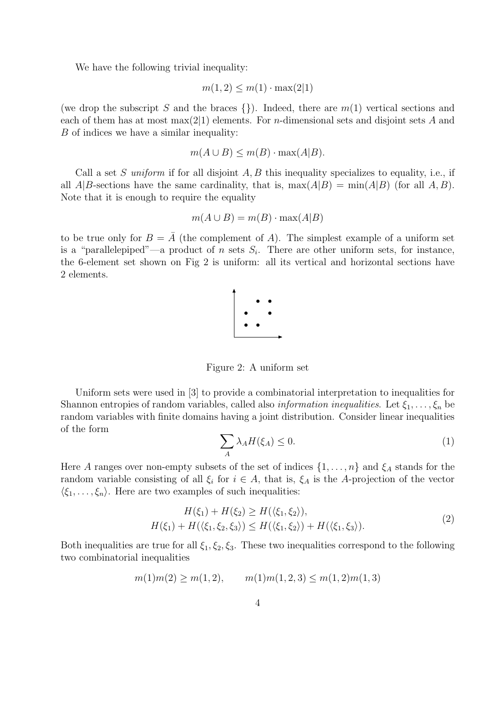We have the following trivial inequality:

$$
m(1,2) \le m(1) \cdot \max(2|1)
$$

(we drop the subscript S and the braces  $\{\}\)$ . Indeed, there are  $m(1)$  vertical sections and each of them has at most max $(2|1)$  elements. For *n*-dimensional sets and disjoint sets A and B of indices we have a similar inequality:

$$
m(A \cup B) \le m(B) \cdot \max(A|B).
$$

Call a set S uniform if for all disjoint  $A, B$  this inequality specializes to equality, i.e., if all  $A|B$ -sections have the same cardinality, that is,  $max(A|B) = min(A|B)$  (for all A, B). Note that it is enough to require the equality

$$
m(A \cup B) = m(B) \cdot \max(A|B)
$$

to be true only for  $B = A$  (the complement of A). The simplest example of a uniform set is a "parallelepiped"—a product of n sets  $S_i$ . There are other uniform sets, for instance, the 6-element set shown on Fig 2 is uniform: all its vertical and horizontal sections have 2 elements.



Figure 2: A uniform set

Uniform sets were used in [3] to provide a combinatorial interpretation to inequalities for Shannon entropies of random variables, called also *information inequalities*. Let  $\xi_1, \ldots, \xi_n$  be random variables with finite domains having a joint distribution. Consider linear inequalities of the form

$$
\sum_{A} \lambda_A H(\xi_A) \le 0. \tag{1}
$$

Here A ranges over non-empty subsets of the set of indices  $\{1, \ldots, n\}$  and  $\xi_A$  stands for the random variable consisting of all  $\xi_i$  for  $i \in A$ , that is,  $\xi_A$  is the A-projection of the vector  $\langle \xi_1, \ldots, \xi_n \rangle$ . Here are two examples of such inequalities:

$$
H(\xi_1) + H(\xi_2) \ge H(\langle \xi_1, \xi_2 \rangle), H(\xi_1) + H(\langle \xi_1, \xi_2, \xi_3 \rangle) \le H(\langle \xi_1, \xi_2 \rangle) + H(\langle \xi_1, \xi_3 \rangle).
$$
(2)

Both inequalities are true for all  $\xi_1, \xi_2, \xi_3$ . These two inequalities correspond to the following two combinatorial inequalities

$$
m(1)m(2) \ge m(1,2),
$$
  $m(1)m(1,2,3) \le m(1,2)m(1,3)$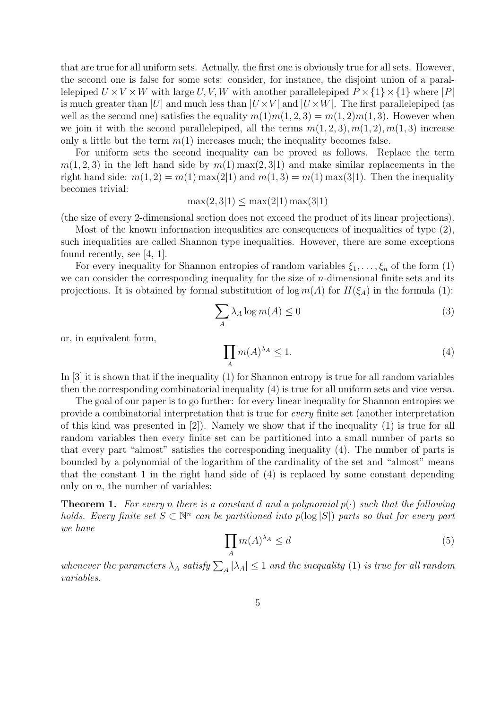that are true for all uniform sets. Actually, the first one is obviously true for all sets. However, the second one is false for some sets: consider, for instance, the disjoint union of a parallelepiped  $U \times V \times W$  with large U, V, W with another parallelepiped  $P \times \{1\} \times \{1\}$  where |P| is much greater than |U| and much less than  $|U \times V|$  and  $|U \times W|$ . The first parallelepiped (as well as the second one) satisfies the equality  $m(1)m(1, 2, 3) = m(1, 2)m(1, 3)$ . However when we join it with the second parallelepiped, all the terms  $m(1, 2, 3), m(1, 2), m(1, 3)$  increase only a little but the term  $m(1)$  increases much; the inequality becomes false.

For uniform sets the second inequality can be proved as follows. Replace the term  $m(1, 2, 3)$  in the left hand side by  $m(1)$  max $(2, 3|1)$  and make similar replacements in the right hand side:  $m(1, 2) = m(1) \max(2|1)$  and  $m(1, 3) = m(1) \max(3|1)$ . Then the inequality becomes trivial:

$$
\max(2,3|1) \le \max(2|1) \max(3|1)
$$

(the size of every 2-dimensional section does not exceed the product of its linear projections).

Most of the known information inequalities are consequences of inequalities of type (2), such inequalities are called Shannon type inequalities. However, there are some exceptions found recently, see [4, 1].

For every inequality for Shannon entropies of random variables  $\xi_1, \ldots, \xi_n$  of the form (1) we can consider the corresponding inequality for the size of  $n$ -dimensional finite sets and its projections. It is obtained by formal substitution of  $\log m(A)$  for  $H(\xi_A)$  in the formula (1):

$$
\sum_{A} \lambda_A \log m(A) \le 0 \tag{3}
$$

or, in equivalent form,

$$
\prod_{A} m(A)^{\lambda_A} \le 1. \tag{4}
$$

In [3] it is shown that if the inequality (1) for Shannon entropy is true for all random variables then the corresponding combinatorial inequality (4) is true for all uniform sets and vice versa.

The goal of our paper is to go further: for every linear inequality for Shannon entropies we provide a combinatorial interpretation that is true for every finite set (another interpretation of this kind was presented in [2]). Namely we show that if the inequality (1) is true for all random variables then every finite set can be partitioned into a small number of parts so that every part "almost" satisfies the corresponding inequality (4). The number of parts is bounded by a polynomial of the logarithm of the cardinality of the set and "almost" means that the constant 1 in the right hand side of (4) is replaced by some constant depending only on  $n$ , the number of variables:

**Theorem 1.** For every n there is a constant d and a polynomial  $p(\cdot)$  such that the following holds. Every finite set  $S \subset \mathbb{N}^n$  can be partitioned into  $p(\log |S|)$  parts so that for every part we have

$$
\prod_{A} m(A)^{\lambda_A} \le d \tag{5}
$$

whenever the parameters  $\lambda_A$  satisfy  $\sum_A |\lambda_A| \leq 1$  and the inequality (1) is true for all random variables.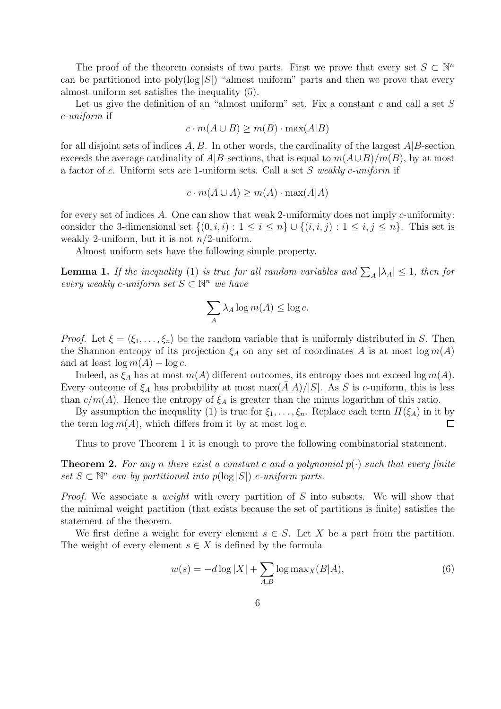The proof of the theorem consists of two parts. First we prove that every set  $S \subset \mathbb{N}^n$ can be partitioned into poly( $log |S|$ ) "almost uniform" parts and then we prove that every almost uniform set satisfies the inequality (5).

Let us give the definition of an "almost uniform" set. Fix a constant  $c$  and call a set  $S$ c-uniform if

$$
c \cdot m(A \cup B) \ge m(B) \cdot \max(A|B)
$$

for all disjoint sets of indices  $A, B$ . In other words, the cardinality of the largest  $A|B$ -section exceeds the average cardinality of  $A|B$ -sections, that is equal to  $m(A\cup B)/m(B)$ , by at most a factor of c. Uniform sets are 1-uniform sets. Call a set S weakly c-uniform if

$$
c \cdot m(\bar{A} \cup A) \ge m(A) \cdot \max(\bar{A}|A)
$$

for every set of indices A. One can show that weak 2-uniformity does not imply c-uniformity: consider the 3-dimensional set  $\{(0, i, i): 1 \le i \le n\} \cup \{(i, i, j): 1 \le i, j \le n\}$ . This set is weakly 2-uniform, but it is not  $n/2$ -uniform.

Almost uniform sets have the following simple property.

**Lemma 1.** If the inequality (1) is true for all random variables and  $\sum_{A} |\lambda_A| \leq 1$ , then for every weakly c-uniform set  $S \subset \mathbb{N}^n$  we have

$$
\sum_{A} \lambda_A \log m(A) \le \log c.
$$

*Proof.* Let  $\xi = \langle \xi_1, \ldots, \xi_n \rangle$  be the random variable that is uniformly distributed in S. Then the Shannon entropy of its projection  $\xi_A$  on any set of coordinates A is at most  $\log m(A)$ and at least  $\log m(A) - \log c$ .

Indeed, as  $\xi_A$  has at most  $m(A)$  different outcomes, its entropy does not exceed  $\log m(A)$ . Every outcome of  $\xi_A$  has probability at most max $(\overline{A}|\overline{A})/|\overline{S}|$ . As S is c-uniform, this is less than  $c/m(A)$ . Hence the entropy of  $\xi_A$  is greater than the minus logarithm of this ratio.

By assumption the inequality (1) is true for  $\xi_1, \ldots, \xi_n$ . Replace each term  $H(\xi_A)$  in it by the term  $\log m(A)$ , which differs from it by at most  $\log c$ . □

Thus to prove Theorem 1 it is enough to prove the following combinatorial statement.

**Theorem 2.** For any n there exist a constant c and a polynomial  $p(\cdot)$  such that every finite set  $S \subset \mathbb{N}^n$  can by partitioned into  $p(\log |S|)$  c-uniform parts.

*Proof.* We associate a *weight* with every partition of  $S$  into subsets. We will show that the minimal weight partition (that exists because the set of partitions is finite) satisfies the statement of the theorem.

We first define a weight for every element  $s \in S$ . Let X be a part from the partition. The weight of every element  $s \in X$  is defined by the formula

$$
w(s) = -d \log |X| + \sum_{A,B} \log \max_X(B|A),\tag{6}
$$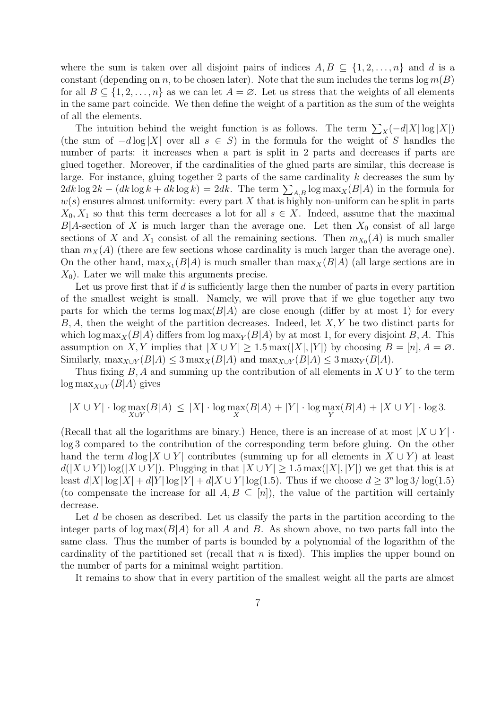where the sum is taken over all disjoint pairs of indices  $A, B \subseteq \{1, 2, ..., n\}$  and d is a constant (depending on n, to be chosen later). Note that the sum includes the terms  $\log m(B)$ for all  $B \subseteq \{1, 2, \ldots, n\}$  as we can let  $A = \emptyset$ . Let us stress that the weights of all elements in the same part coincide. We then define the weight of a partition as the sum of the weights of all the elements.

The intuition behind the weight function is as follows. The term  $\sum_{X}(-d|X|\log|X|)$ (the sum of  $-d \log |X|$  over all  $s \in S$ ) in the formula for the weight of S handles the number of parts: it increases when a part is split in 2 parts and decreases if parts are glued together. Moreover, if the cardinalities of the glued parts are similar, this decrease is large. For instance, gluing together 2 parts of the same cardinality  $k$  decreases the sum by  $2dk \log 2k - (dk \log k + dk \log k) = 2dk$ . The term  $\sum_{A,B} \log \max_{X} (B|A)$  in the formula for  $w(s)$  ensures almost uniformity: every part X that is highly non-uniform can be split in parts  $X_0, X_1$  so that this term decreases a lot for all  $s \in X$ . Indeed, assume that the maximal  $B|A$ -section of X is much larger than the average one. Let then  $X_0$  consist of all large sections of X and  $X_1$  consist of all the remaining sections. Then  $m_{X_0}(A)$  is much smaller than  $m_X(A)$  (there are few sections whose cardinality is much larger than the average one). On the other hand,  $\max_{X_1}(B|A)$  is much smaller than  $\max_X(B|A)$  (all large sections are in  $X_0$ ). Later we will make this arguments precise.

Let us prove first that if  $d$  is sufficiently large then the number of parts in every partition of the smallest weight is small. Namely, we will prove that if we glue together any two parts for which the terms  $\log \max(B|A)$  are close enough (differ by at most 1) for every  $B, A$ , then the weight of the partition decreases. Indeed, let  $X, Y$  be two distinct parts for which log max<sub>X</sub>( $B|A$ ) differs from log max<sub>Y</sub>( $B|A$ ) by at most 1, for every disjoint B, A. This assumption on X, Y implies that  $|X \cup Y| \geq 1.5 \max(|X|, |Y|)$  by choosing  $B = [n], A = \emptyset$ . Similarly,  $\max_{X \cup Y} (B|A) \leq 3 \max_{X} (B|A)$  and  $\max_{X \cup Y} (B|A) \leq 3 \max_{Y} (B|A)$ .

Thus fixing B, A and summing up the contribution of all elements in  $X \cup Y$  to the term  $\log \max_{X \cup Y} (B|A)$  gives

$$
|X \cup Y| \cdot \log \max_{X \cup Y} (B|A) \le |X| \cdot \log \max_X (B|A) + |Y| \cdot \log \max_Y (B|A) + |X \cup Y| \cdot \log 3.
$$

(Recall that all the logarithms are binary.) Hence, there is an increase of at most  $|X \cup Y|$ . log 3 compared to the contribution of the corresponding term before gluing. On the other hand the term  $d \log |X \cup Y|$  contributes (summing up for all elements in  $X \cup Y$ ) at least  $d(|X \cup Y|) \log(|X \cup Y|)$ . Plugging in that  $|X \cup Y| \geq 1.5 \max(|X|, |Y|)$  we get that this is at least  $d|X| \log |X| + d|Y| \log |Y| + d|X \cup Y| \log(1.5)$ . Thus if we choose  $d \geq 3^n \log 3 / \log(1.5)$ (to compensate the increase for all  $A, B \subseteq [n]$ ), the value of the partition will certainly decrease.

Let d be chosen as described. Let us classify the parts in the partition according to the integer parts of  $\log \max(B|A)$  for all A and B. As shown above, no two parts fall into the same class. Thus the number of parts is bounded by a polynomial of the logarithm of the cardinality of the partitioned set (recall that  $n$  is fixed). This implies the upper bound on the number of parts for a minimal weight partition.

It remains to show that in every partition of the smallest weight all the parts are almost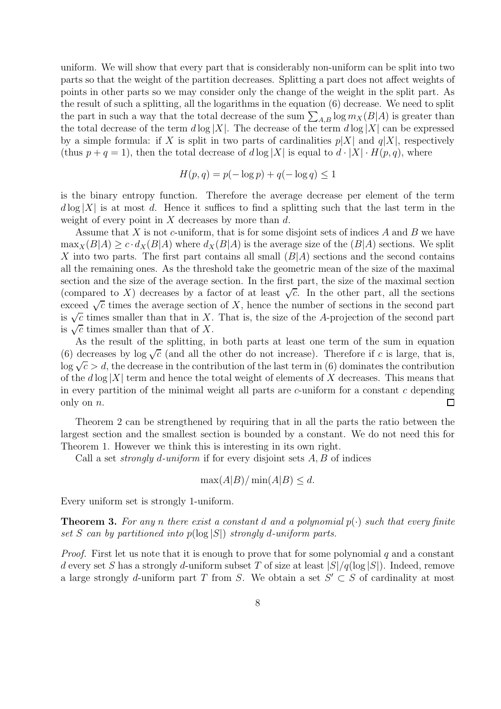uniform. We will show that every part that is considerably non-uniform can be split into two parts so that the weight of the partition decreases. Splitting a part does not affect weights of points in other parts so we may consider only the change of the weight in the split part. As the result of such a splitting, all the logarithms in the equation (6) decrease. We need to split the part in such a way that the total decrease of the sum  $\sum_{A,B} \log m_X(B|A)$  is greater than the total decrease of the term  $d \log |X|$ . The decrease of the term  $d \log |X|$  can be expressed by a simple formula: if X is split in two parts of cardinalities  $p|X|$  and  $q|X|$ , respectively (thus  $p + q = 1$ ), then the total decrease of  $d \log |X|$  is equal to  $d \cdot |X| \cdot H(p,q)$ , where

$$
H(p,q) = p(-\log p) + q(-\log q) \le 1
$$

is the binary entropy function. Therefore the average decrease per element of the term  $d \log |X|$  is at most d. Hence it suffices to find a splitting such that the last term in the weight of every point in  $X$  decreases by more than  $d$ .

Assume that  $X$  is not c-uniform, that is for some disjoint sets of indices  $A$  and  $B$  we have  $\max_X(B|A) \geq c \cdot d_X(B|A)$  where  $d_X(B|A)$  is the average size of the  $(B|A)$  sections. We split X into two parts. The first part contains all small  $(B|A)$  sections and the second contains all the remaining ones. As the threshold take the geometric mean of the size of the maximal section and the size of the average section. In the first part, the size of the maximal section (compared to X) decreases by a factor of at least  $\sqrt{c}$ . In the other part, all the sections exceed  $\sqrt{c}$  times the average section of X, hence the number of sections in the second part is  $\sqrt{c}$  times smaller than that in X. That is, the size of the A-projection of the second part is  $\sqrt{c}$  times smaller than that of X.

As the result of the splitting, in both parts at least one term of the sum in equation (6) decreases by  $\log \sqrt{c}$  (and all the other do not increase). Therefore if c is large, that is,  $\log \sqrt{c} > d$ , the decrease in the contribution of the last term in (6) dominates the contribution of the  $d \log |X|$  term and hence the total weight of elements of X decreases. This means that in every partition of the minimal weight all parts are  $c$ -uniform for a constant  $c$  depending only on n.  $\Box$ 

Theorem 2 can be strengthened by requiring that in all the parts the ratio between the largest section and the smallest section is bounded by a constant. We do not need this for Theorem 1. However we think this is interesting in its own right.

Call a set *strongly d-uniform* if for every disjoint sets  $A, B$  of indices

$$
\max(A|B) / \min(A|B) \le d.
$$

Every uniform set is strongly 1-uniform.

**Theorem 3.** For any n there exist a constant d and a polynomial  $p(\cdot)$  such that every finite set S can by partitioned into  $p(\log |S|)$  strongly d-uniform parts.

*Proof.* First let us note that it is enough to prove that for some polynomial q and a constant d every set S has a strongly d-uniform subset T of size at least  $|S|/q(\log |S|)$ . Indeed, remove a large strongly d-uniform part T from S. We obtain a set  $S' \subset S$  of cardinality at most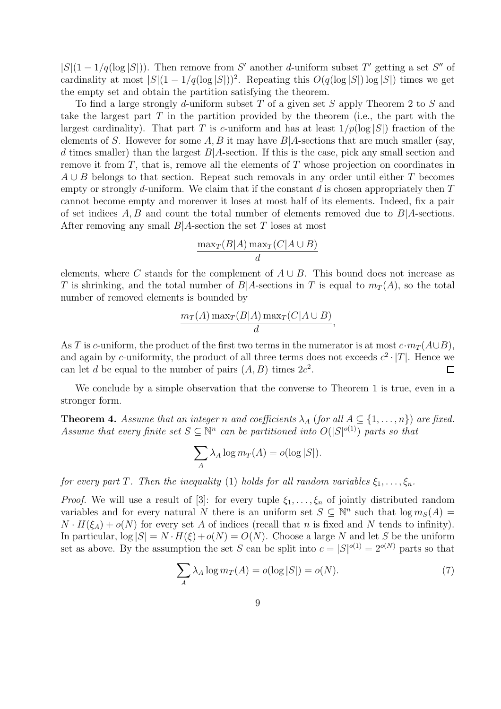$|S|(1-1/q(\log |S|))$ . Then remove from S' another d-uniform subset T' getting a set S'' of cardinality at most  $|S|(1 - 1/q(\log |S|))^2$ . Repeating this  $O(q(\log |S|) \log |S|)$  times we get the empty set and obtain the partition satisfying the theorem.

To find a large strongly d-uniform subset T of a given set S apply Theorem 2 to S and take the largest part  $T$  in the partition provided by the theorem (i.e., the part with the largest cardinality). That part T is c-uniform and has at least  $1/p(\log |S|)$  fraction of the elements of S. However for some A, B it may have  $B|A$ -sections that are much smaller (say, d times smaller) than the largest  $B|A$ -section. If this is the case, pick any small section and remove it from  $T$ , that is, remove all the elements of  $T$  whose projection on coordinates in  $A \cup B$  belongs to that section. Repeat such removals in any order until either T becomes empty or strongly d-uniform. We claim that if the constant  $d$  is chosen appropriately then  $T$ cannot become empty and moreover it loses at most half of its elements. Indeed, fix a pair of set indices  $A, B$  and count the total number of elements removed due to  $B|A$ -sections. After removing any small  $B|A$ -section the set T loses at most

$$
\frac{\max_T(B|A)\max_T(C|A\cup B)}{d}
$$

elements, where C stands for the complement of  $A \cup B$ . This bound does not increase as T is shrinking, and the total number of  $B|A$ -sections in T is equal to  $m_T(A)$ , so the total number of removed elements is bounded by

$$
\frac{m_T(A)\max_T(B|A)\max_T(C|A\cup B)}{d},
$$

As T is c-uniform, the product of the first two terms in the numerator is at most  $c \cdot m_T(A \cup B)$ , and again by c-uniformity, the product of all three terms does not exceeds  $c^2 \cdot |T|$ . Hence we can let d be equal to the number of pairs  $(A, B)$  times  $2c^2$ .

We conclude by a simple observation that the converse to Theorem 1 is true, even in a stronger form.

**Theorem 4.** Assume that an integer n and coefficients  $\lambda_A$  (for all  $A \subseteq \{1, \ldots, n\}$ ) are fixed. Assume that every finite set  $S \subseteq \mathbb{N}^n$  can be partitioned into  $O(|S|^{o(1)})$  parts so that

$$
\sum_{A} \lambda_A \log m_T(A) = o(\log |S|).
$$

for every part T. Then the inequality (1) holds for all random variables  $\xi_1, \ldots, \xi_n$ .

*Proof.* We will use a result of [3]: for every tuple  $\xi_1, \ldots, \xi_n$  of jointly distributed random variables and for every natural N there is an uniform set  $S \subseteq \mathbb{N}^n$  such that  $\log m_S(A) =$  $N \cdot H(\xi_A) + o(N)$  for every set A of indices (recall that n is fixed and N tends to infinity). In particular,  $\log |S| = N \cdot H(\xi) + o(N) = O(N)$ . Choose a large N and let S be the uniform set as above. By the assumption the set S can be split into  $c = |S|^{o(1)} = 2^{o(N)}$  parts so that

$$
\sum_{A} \lambda_A \log m_T(A) = o(\log |S|) = o(N). \tag{7}
$$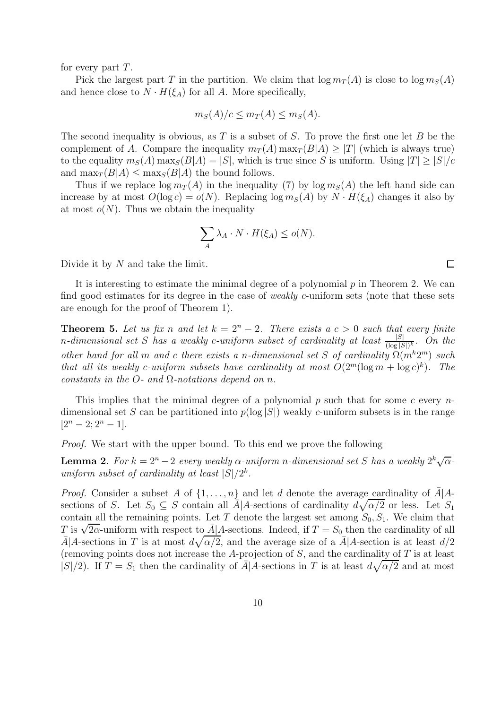for every part  $T$ .

Pick the largest part T in the partition. We claim that  $\log m_T(A)$  is close to  $\log m_S(A)$ and hence close to  $N \cdot H(\xi_A)$  for all A. More specifically,

$$
m_S(A)/c \leq m_T(A) \leq m_S(A).
$$

The second inequality is obvious, as  $T$  is a subset of  $S$ . To prove the first one let  $B$  be the complement of A. Compare the inequality  $m_T(A)$  max $_T(B|A) \geq |T|$  (which is always true) to the equality  $m_S(A)$  max $_S(B|A) = |S|$ , which is true since S is uniform. Using  $|T| \ge |S|/c$ and  $\max_T (B|A) \leq \max_S (B|A)$  the bound follows.

Thus if we replace  $\log m_T(A)$  in the inequality (7) by  $\log m_S(A)$  the left hand side can increase by at most  $O(\log c) = o(N)$ . Replacing  $\log m_S(A)$  by  $N \cdot H(\xi_A)$  changes it also by at most  $o(N)$ . Thus we obtain the inequality

$$
\sum_{A} \lambda_A \cdot N \cdot H(\xi_A) \le o(N).
$$

Divide it by N and take the limit.

It is interesting to estimate the minimal degree of a polynomial  $p$  in Theorem 2. We can find good estimates for its degree in the case of *weakly c*-uniform sets (note that these sets are enough for the proof of Theorem 1).

**Theorem 5.** Let us fix n and let  $k = 2^n - 2$ . There exists a  $c > 0$  such that every finite n-dimensional set S has a weakly c-uniform subset of cardinality at least  $\frac{|S|}{(\log |S|)^k}$ . On the other hand for all m and c there exists a n-dimensional set S of cardinality  $\Omega(m^k 2^m)$  such that all its weakly c-uniform subsets have cardinality at most  $O(2^m(\log m + \log c)^k)$ . The constants in the O- and  $\Omega$ -notations depend on n.

This implies that the minimal degree of a polynomial  $p$  such that for some  $c$  every  $n$ dimensional set S can be partitioned into  $p(\log |S|)$  weakly c-uniform subsets is in the range  $[2<sup>n</sup> - 2; 2<sup>n</sup> - 1].$ 

Proof. We start with the upper bound. To this end we prove the following

**Lemma 2.** For  $k = 2^n - 2$  every weakly  $\alpha$ -uniform n-dimensional set S has a weakly  $2^k \sqrt{\alpha}$ uniform subset of cardinality at least  $|S|/2^k$ .

*Proof.* Consider a subset A of  $\{1, \ldots, n\}$  and let d denote the average cardinality of  $\bar{A}$  |Asections of S. Let  $S_0 \subseteq S$  contain all  $\overline{A}$  A-sections of cardinality  $d\sqrt{\alpha/2}$  or less. Let  $S_1$ contain all the remaining points. Let T denote the largest set among  $S_0, S_1$ . We claim that T is  $\sqrt{2\alpha}$ -uniform with respect to  $\overline{A}$  A-sections. Indeed, if  $T = S_0$  then the cardinality of all  $\bar{A}|A$ -sections in T is at most  $d\sqrt{\alpha/2}$ , and the average size of a  $\bar{A}|A$ -section is at least  $d/2$ (removing points does not increase the A-projection of  $S$ , and the cardinality of  $T$  is at least  $|S|/2$ . If  $T = S_1$  then the cardinality of  $\overline{A}|A$ -sections in T is at least  $d\sqrt{\alpha/2}$  and at most

 $\Box$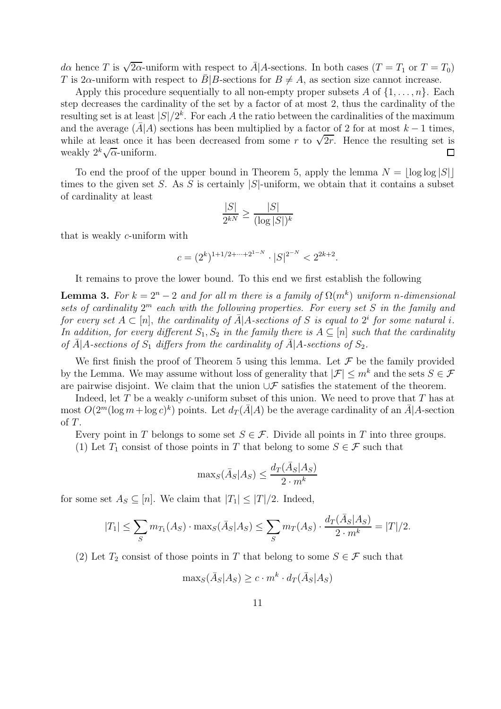da hence T is  $\sqrt{2\alpha}$ -uniform with respect to  $\bar{A}$ |A-sections. In both cases  $(T = T_1 \text{ or } T = T_0)$ T is  $2\alpha$ -uniform with respect to  $\bar{B}|B$ -sections for  $B \neq A$ , as section size cannot increase.

Apply this procedure sequentially to all non-empty proper subsets A of  $\{1, \ldots, n\}$ . Each step decreases the cardinality of the set by a factor of at most 2, thus the cardinality of the resulting set is at least  $|S|/2^k$ . For each A the ratio between the cardinalities of the maximum and the average  $(\bar{A} | A)$  sections has been multiplied by a factor of 2 for at most  $k - 1$  times, while at least once it has been decreased from some r to  $\sqrt{2r}$ . Hence the resulting set is weakly  $2^k \sqrt{\alpha}$ -uniform.  $\Box$ 

To end the proof of the upper bound in Theorem 5, apply the lemma  $N = |\log \log |S|$ times to the given set S. As S is certainly  $|S|$ -uniform, we obtain that it contains a subset of cardinality at least

$$
\frac{|S|}{2^{kN}} \ge \frac{|S|}{(\log |S|)^k}
$$

that is weakly c-uniform with

$$
c = (2^k)^{1+1/2+\dots+2^{1-N}} \cdot |S|^{2^{-N}} < 2^{2k+2}.
$$

It remains to prove the lower bound. To this end we first establish the following

**Lemma 3.** For  $k = 2^n - 2$  and for all m there is a family of  $\Omega(m^k)$  uniform n-dimensional sets of cardinality  $2^m$  each with the following properties. For every set S in the family and for every set  $A \subset [n]$ , the cardinality of  $\bar{A}$ |A-sections of S is equal to  $2^i$  for some natural i. In addition, for every different  $S_1, S_2$  in the family there is  $A \subseteq [n]$  such that the cardinality of  $\bar{A}$  A-sections of  $S_1$  differs from the cardinality of  $\bar{A}$  A-sections of  $S_2$ .

We first finish the proof of Theorem 5 using this lemma. Let  $\mathcal F$  be the family provided by the Lemma. We may assume without loss of generality that  $|\mathcal{F}| \leq m^k$  and the sets  $S \in \mathcal{F}$ are pairwise disjoint. We claim that the union  $\cup \mathcal{F}$  satisfies the statement of the theorem.

Indeed, let  $T$  be a weakly  $c$ -uniform subset of this union. We need to prove that  $T$  has at most  $O(2^m(\log m + \log c)^k)$  points. Let  $d_T(\bar{A}|A)$  be the average cardinality of an  $\bar{A}|A$ -section of T.

Every point in T belongs to some set  $S \in \mathcal{F}$ . Divide all points in T into three groups.

(1) Let  $T_1$  consist of those points in T that belong to some  $S \in \mathcal{F}$  such that

$$
\max_{S}(\bar{A}_{S}|A_{S}) \le \frac{d_{T}(\bar{A}_{S}|A_{S})}{2 \cdot m^{k}}
$$

for some set  $A_S \subseteq [n]$ . We claim that  $|T_1| \leq |T|/2$ . Indeed,

$$
|T_1| \le \sum_{S} m_{T_1}(A_S) \cdot \max_{S}(\bar{A}_S|A_S) \le \sum_{S} m_{T}(A_S) \cdot \frac{d_{T}(\bar{A}_S|A_S)}{2 \cdot m^k} = |T|/2.
$$

(2) Let  $T_2$  consist of those points in T that belong to some  $S \in \mathcal{F}$  such that

$$
\max_{S}(\bar{A}_{S}|A_{S}) \ge c \cdot m^{k} \cdot d_{T}(\bar{A}_{S}|A_{S})
$$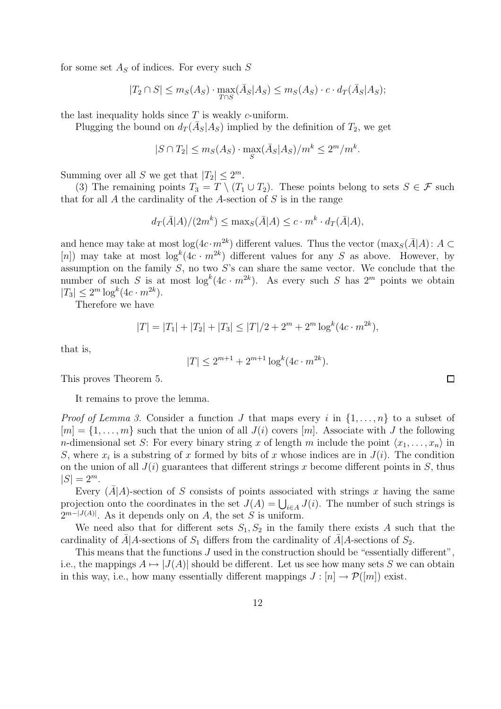for some set  $A<sub>S</sub>$  of indices. For every such S

$$
|T_2 \cap S| \le m_S(A_S) \cdot \max_{T \cap S} (\bar{A}_S | A_S) \le m_S(A_S) \cdot c \cdot d_T(\bar{A}_S | A_S);
$$

the last inequality holds since  $T$  is weakly c-uniform.

Plugging the bound on  $d_T(\bar{A}_S|A_S)$  implied by the definition of  $T_2$ , we get

$$
|S \cap T_2| \le m_S(A_S) \cdot \max_S(\bar{A}_S|A_S)/m^k \le 2^m/m^k.
$$

Summing over all S we get that  $|T_2| \leq 2^m$ .

(3) The remaining points  $T_3 = T \setminus (T_1 \cup T_2)$ . These points belong to sets  $S \in \mathcal{F}$  such that for all  $A$  the cardinality of the  $A$ -section of  $S$  is in the range

$$
d_T(\bar{A}|A)/(2m^k) \le \max_{S}(\bar{A}|A) \le c \cdot m^k \cdot d_T(\bar{A}|A),
$$

and hence may take at most  $\log(4c \cdot m^{2k})$  different values. Thus the vector  $(\max_{S}(\bar{A}|A): A \subset$ [n]) may take at most  $\log^k(4c \cdot m^{2k})$  different values for any S as above. However, by assumption on the family  $S$ , no two  $S$ 's can share the same vector. We conclude that the number of such S is at most  $\log^k(4c \cdot m^{2k})$ . As every such S has  $2^m$  points we obtain  $|T_3| \leq 2^m \log^k(4c \cdot m^{2k}).$ 

Therefore we have

$$
|T| = |T_1| + |T_2| + |T_3| \le |T|/2 + 2^m + 2^m \log^k(4c \cdot m^{2k}),
$$

that is,

$$
|T| \le 2^{m+1} + 2^{m+1} \log^k(4c \cdot m^{2k}).
$$

This proves Theorem 5.

It remains to prove the lemma.

*Proof of Lemma 3.* Consider a function J that maps every i in  $\{1, \ldots, n\}$  to a subset of  $[m] = \{1, \ldots, m\}$  such that the union of all  $J(i)$  covers  $[m]$ . Associate with J the following *n*-dimensional set S: For every binary string x of length m include the point  $\langle x_1, \ldots, x_n \rangle$  in S, where  $x_i$  is a substring of x formed by bits of x whose indices are in  $J(i)$ . The condition on the union of all  $J(i)$  guarantees that different strings x become different points in S, thus  $|S| = 2^m$ .

Every  $(A|A)$ -section of S consists of points associated with strings x having the same projection onto the coordinates in the set  $J(A) = \bigcup_{i \in A} J(i)$ . The number of such strings is  $2^{m-|J(A)|}$ . As it depends only on A, the set S is uniform.

We need also that for different sets  $S_1, S_2$  in the family there exists A such that the cardinality of  $\bar{A}$  A-sections of  $S_1$  differs from the cardinality of  $\bar{A}$  A-sections of  $S_2$ .

This means that the functions  $J$  used in the construction should be "essentially different", i.e., the mappings  $A \mapsto |J(A)|$  should be different. Let us see how many sets S we can obtain in this way, i.e., how many essentially different mappings  $J : [n] \to \mathcal{P}([m])$  exist.